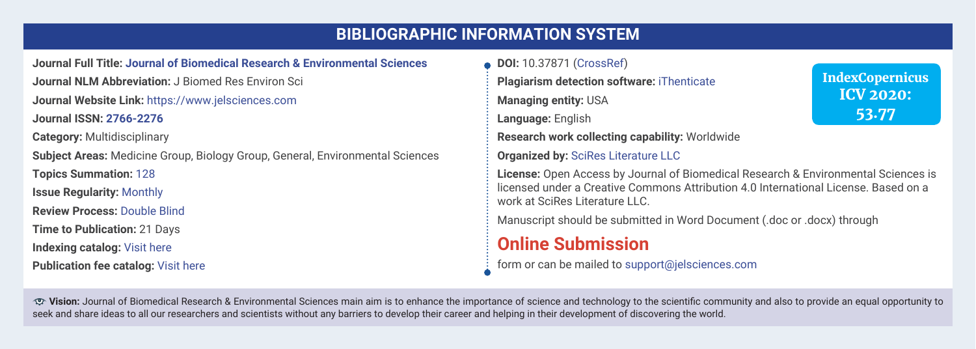#### **BIBLIOGRAPHIC INFORMATION SYSTEM**

**Journal Full Title: [Journal of Biomedical Research & Environmental Sciences](https://www.jelsciences.com/) Journal NLM Abbreviation:** J Biomed Res Environ Sci **Journal Website Link:** https://www.jelsciences.com **Journal ISSN[: 2766-2276](https://portal.issn.org/resource/ISSN/2766-2276) Category:** Multidisciplinary **Subject Areas:** Medicine Group, Biology Group, General, Environmental Sciences **Topics Summation:** [128](https://www.jelsciences.com/assets/img/subjects.php) **Issue Regularity:** [Monthly](https://www.jelsciences.com/archive.php) **Review Process:** [Double Blind](https://www.jelsciences.com/peer-review-process.php) **Time to Publication:** 21 Days **Indexing catalog:** [Visit here](https://www.jelsciences.com/indexing.php) **Publication fee catalog:** [Visit here](https://www.jelsciences.com/publication-fee-2021.php)

#### **DOI:** 10.37871 [\(CrossRef\)](https://search.crossref.org/?q=%22Journal+of+Biomedical+Research+%26+Environmental+Sciences%22&from_ui=yes)

**Plagiarism detection software:** [iThenticate](https://www.jelsciences.com/crossref-similarity-check.php)

**Managing entity:** USA

**Language:** English

**Research work collecting capability:** Worldwide

**Organized by:** SciRes Literature LLC

**License:** Open Access by Journal of Biomedical Research & Environmental Sciences is licensed under a Creative Commons Attribution 4.0 International License. Based on a work at SciRes Literature LLC.

Manuscript should be submitted in Word Document (.doc or .docx) through

## **[Online Submission](https://www.jelsciences.com/submit-form.php)**

form or can be mailed to support@jelsciences.com

 **Vision:** Journal of Biomedical Research & Environmental Sciences main aim is to enhance the importance of science and technology to the scientifi c community and also to provide an equal opportunity to seek and share ideas to all our researchers and scientists without any barriers to develop their career and helping in their development of discovering the world.

[IndexCopernicus](https://journals.indexcopernicus.com/search/journal/issue?issueId=all&journalId=67615) ICV 2020: 53.77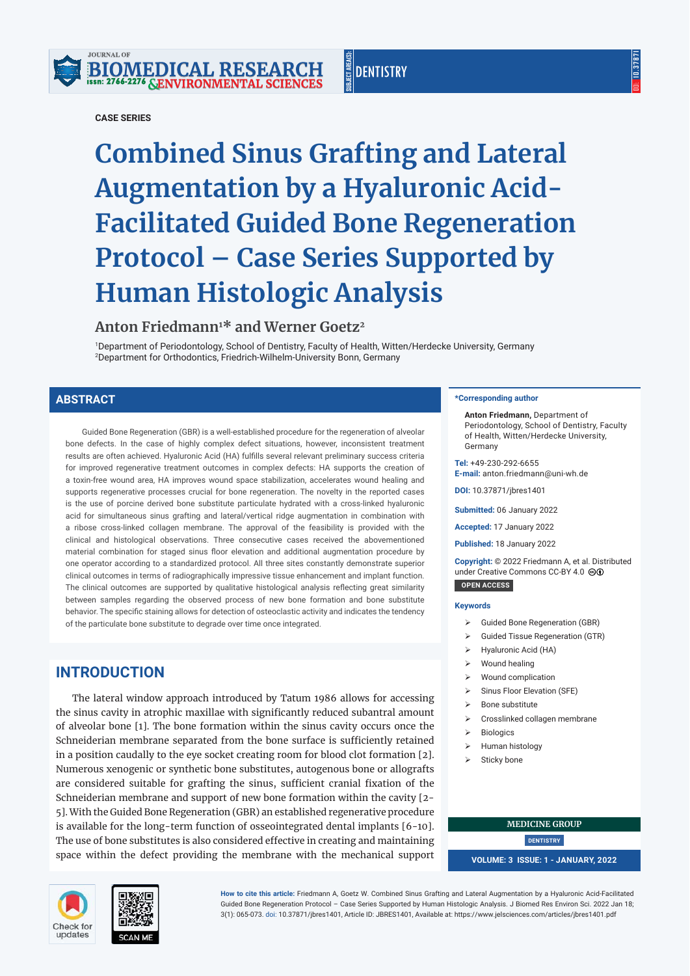

# **BIOMEDICAL RESEARCH**<br>15501: 2766-2276 <sub>S</sub>environmental sciences

#### **CASE SERIES**

# **Combined Sinus Grafting and Lateral Augmentation by a Hyaluronic Acid-Facilitated Guided Bone Regeneration Protocol – Case Series Supported by Human Histologic Analysis**

## **Anton Friedmann1 \* and Werner Goetz2**

1 Department of Periodontology, School of Dentistry, Faculty of Health, Witten/Herdecke University, Germany 2 Department for Orthodontics, Friedrich-Wilhelm-University Bonn, Germany

## **ABSTRACT**

Guided Bone Regeneration (GBR) is a well-established procedure for the regeneration of alveolar bone defects. In the case of highly complex defect situations, however, inconsistent treatment results are often achieved. Hyaluronic Acid (HA) fulfills several relevant preliminary success criteria for improved regenerative treatment outcomes in complex defects: HA supports the creation of a toxin-free wound area, HA improves wound space stabilization, accelerates wound healing and supports regenerative processes crucial for bone regeneration. The novelty in the reported cases is the use of porcine derived bone substitute particulate hydrated with a cross-linked hyaluronic acid for simultaneous sinus grafting and lateral/vertical ridge augmentation in combination with a ribose cross-linked collagen membrane. The approval of the feasibility is provided with the clinical and histological observations. Three consecutive cases received the abovementioned material combination for staged sinus floor elevation and additional augmentation procedure by one operator according to a standardized protocol. All three sites constantly demonstrate superior clinical outcomes in terms of radiographically impressive tissue enhancement and implant function. The clinical outcomes are supported by qualitative histological analysis reflecting great similarity between samples regarding the observed process of new bone formation and bone substitute behavior. The specific staining allows for detection of osteoclastic activity and indicates the tendency of the particulate bone substitute to degrade over time once integrated.

# **INTRODUCTION**

The lateral window approach introduced by Tatum 1986 allows for accessing the sinus cavity in atrophic maxillae with significantly reduced subantral amount of alveolar bone [1]. The bone formation within the sinus cavity occurs once the Schneiderian membrane separated from the bone surface is sufficiently retained in a position caudally to the eye socket creating room for blood clot formation [2]. Numerous xenogenic or synthetic bone substitutes, autogenous bone or allografts are considered suitable for grafting the sinus, sufficient cranial fixation of the Schneiderian membrane and support of new bone formation within the cavity [2- 5]. With the Guided Bone Regeneration (GBR) an established regenerative procedure is available for the long-term function of osseointegrated dental implants [6-10]. The use of bone substitutes is also considered effective in creating and maintaining space within the defect providing the membrane with the mechanical support

#### **\*Corresponding author**

**Anton Friedmann,** Department of Periodontology, School of Dentistry, Faculty of Health, Witten/Herdecke University, Germany

**Tel:** +49-230-292-6655 **E-mail:** anton.friedmann@uni-wh.de

**DOI:** 10.37871/jbres1401

**Submitted:** 06 January 2022

**Accepted:** 17 January 2022

**Published:** 18 January 2022

**Copyright:** © 2022 Friedmann A, et al. Distributed under Creative Commons CC-BY 4.0 @  **OPEN ACCESS** 

#### **Keywords**

- Guided Bone Regeneration (GBR)
- Guided Tissue Regeneration (GTR)
	- Hyaluronic Acid (HA)
- Wound healing
- Wound complication
- > Sinus Floor Elevation (SFE)
- $\triangleright$  Bone substitute
- $\triangleright$  Crosslinked collagen membrane
- Biologics
- $\triangleright$  Human histology
- Sticky bone



**How to cite this article:** Friedmann A, Goetz W. Combined Sinus Grafting and Lateral Augmentation by a Hyaluronic Acid-Facilitated Guided Bone Regeneration Protocol – Case Series Supported by Human Histologic Analysis. J Biomed Res Environ Sci. 2022 Jan 18; 3(1): 065-073. doi: 10.37871/jbres1401, Article ID: JBRES1401, Available at: https://www.jelsciences.com/articles/jbres1401.pdf

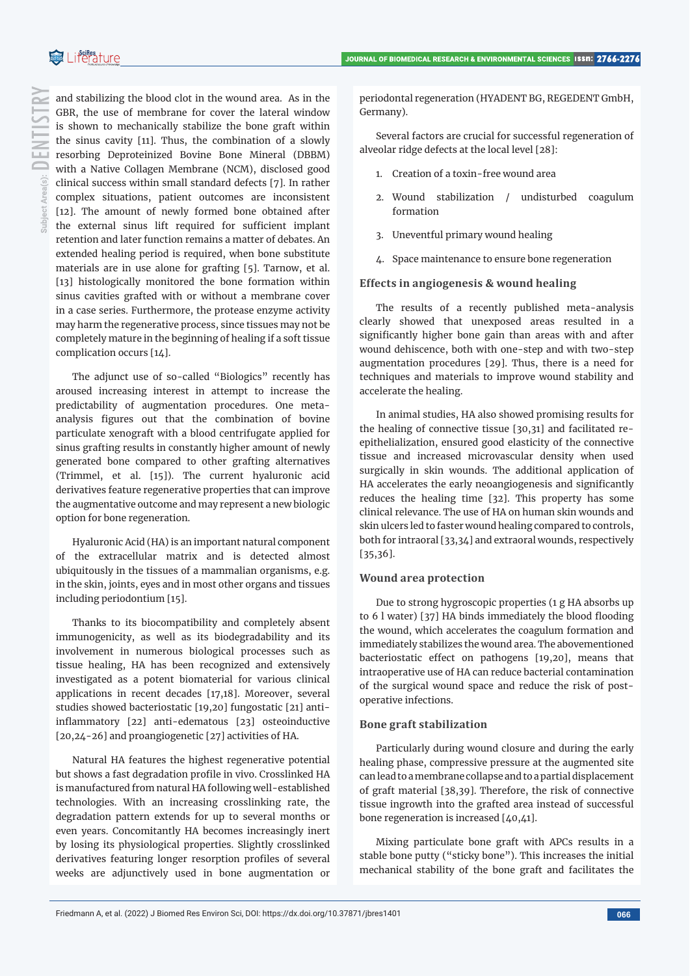and stabilizing the blood clot in the wound area. As in the GBR, the use of membrane for cover the lateral window is shown to mechanically stabilize the bone graft within the sinus cavity [11]. Thus, the combination of a slowly resorbing Deproteinized Bovine Bone Mineral (DBBM) with a Native Collagen Membrane (NCM), disclosed good clinical success within small standard defects [7]. In rather complex situations, patient outcomes are inconsistent [12]. The amount of newly formed bone obtained after the external sinus lift required for sufficient implant retention and later function remains a matter of debates. An extended healing period is required, when bone substitute materials are in use alone for grafting [5]. Tarnow, et al. [13] histologically monitored the bone formation within sinus cavities grafted with or without a membrane cover in a case series. Furthermore, the protease enzyme activity may harm the regenerative process, since tissues may not be completely mature in the beginning of healing if a soft tissue complication occurs [14].

The adjunct use of so-called "Biologics" recently has aroused increasing interest in attempt to increase the predictability of augmentation procedures. One metaanalysis figures out that the combination of bovine particulate xenograft with a blood centrifugate applied for sinus grafting results in constantly higher amount of newly generated bone compared to other grafting alternatives (Trimmel, et al. [15]). The current hyaluronic acid derivatives feature regenerative properties that can improve the augmentative outcome and may represent a new biologic option for bone regeneration.

Hyaluronic Acid (HA) is an important natural component of the extracellular matrix and is detected almost ubiquitously in the tissues of a mammalian organisms, e.g. in the skin, joints, eyes and in most other organs and tissues including periodontium [15].

Thanks to its biocompatibility and completely absent immunogenicity, as well as its biodegradability and its involvement in numerous biological processes such as tissue healing, HA has been recognized and extensively investigated as a potent biomaterial for various clinical applications in recent decades [17,18]. Moreover, several studies showed bacteriostatic [19,20] fungostatic [21] antiinflammatory [22] anti-edematous [23] osteoinductive [20,24-26] and proangiogenetic [27] activities of HA.

Natural HA features the highest regenerative potential but shows a fast degradation profile in vivo. Crosslinked HA is manufactured from natural HA following well-established technologies. With an increasing crosslinking rate, the degradation pattern extends for up to several months or even years. Concomitantly HA becomes increasingly inert by losing its physiological properties. Slightly crosslinked derivatives featuring longer resorption profiles of several weeks are adjunctively used in bone augmentation or

periodontal regeneration (HYADENT BG, REGEDENT GmbH, Germany).

Several factors are crucial for successful regeneration of alveolar ridge defects at the local level [28]:

- 1. Creation of a toxin-free wound area
- 2. Wound stabilization / undisturbed coagulum formation
- 3. Uneventful primary wound healing
- 4. Space maintenance to ensure bone regeneration

#### **Effects in angiogenesis & wound healing**

The results of a recently published meta-analysis clearly showed that unexposed areas resulted in a significantly higher bone gain than areas with and after wound dehiscence, both with one-step and with two-step augmentation procedures [29]. Thus, there is a need for techniques and materials to improve wound stability and accelerate the healing.

In animal studies, HA also showed promising results for the healing of connective tissue [30,31] and facilitated reepithelialization, ensured good elasticity of the connective tissue and increased microvascular density when used surgically in skin wounds. The additional application of HA accelerates the early neoangiogenesis and significantly reduces the healing time [32]. This property has some clinical relevance. The use of HA on human skin wounds and skin ulcers led to faster wound healing compared to controls, both for intraoral [33,34] and extraoral wounds, respectively [35,36].

#### **Wound area protection**

Due to strong hygroscopic properties (1 g HA absorbs up to  $6$  l water) [37] HA binds immediately the blood flooding the wound, which accelerates the coagulum formation and immediately stabilizes the wound area. The abovementioned bacteriostatic effect on pathogens [19,20], means that intraoperative use of HA can reduce bacterial contamination of the surgical wound space and reduce the risk of postoperative infections.

#### **Bone graft stabilization**

Particularly during wound closure and during the early healing phase, compressive pressure at the augmented site can lead to a membrane collapse and to a partial displacement of graft material [38,39]. Therefore, the risk of connective tissue ingrowth into the grafted area instead of successful bone regeneration is increased [40,41].

Mixing particulate bone graft with APCs results in a stable bone putty ("sticky bone"). This increases the initial mechanical stability of the bone graft and facilitates the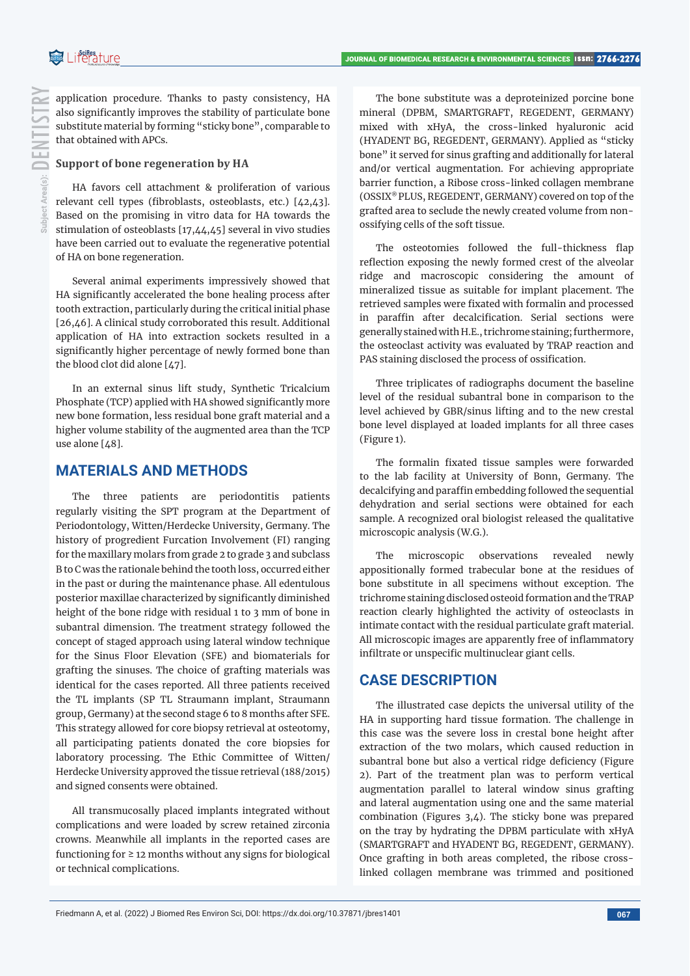application procedure. Thanks to pasty consistency, HA also significantly improves the stability of particulate bone substitute material by forming "sticky bone", comparable to that obtained with APCs.

### **Support of bone regeneration by HA**

HA favors cell attachment & proliferation of various relevant cell types (fibroblasts, osteoblasts, etc.)  $[42, 43]$ . Based on the promising in vitro data for HA towards the stimulation of osteoblasts [17,44,45] several in vivo studies have been carried out to evaluate the regenerative potential of HA on bone regeneration.

Several animal experiments impressively showed that HA significantly accelerated the bone healing process after tooth extraction, particularly during the critical initial phase [26,46]. A clinical study corroborated this result. Additional application of HA into extraction sockets resulted in a significantly higher percentage of newly formed bone than the blood clot did alone [47].

In an external sinus lift study, Synthetic Tricalcium Phosphate (TCP) applied with HA showed significantly more new bone formation, less residual bone graft material and a higher volume stability of the augmented area than the TCP use alone [48].

# **MATERIALS AND METHODS**

The three patients are periodontitis patients regularly visiting the SPT program at the Department of Periodontology, Witten/Herdecke University, Germany. The history of progredient Furcation Involvement (FI) ranging for the maxillary molars from grade 2 to grade 3 and subclass B to C was the rationale behind the tooth loss, occurred either in the past or during the maintenance phase. All edentulous posterior maxillae characterized by significantly diminished height of the bone ridge with residual 1 to 3 mm of bone in subantral dimension. The treatment strategy followed the concept of staged approach using lateral window technique for the Sinus Floor Elevation (SFE) and biomaterials for grafting the sinuses. The choice of grafting materials was identical for the cases reported. All three patients received the TL implants (SP TL Straumann implant, Straumann group, Germany) at the second stage 6 to 8 months after SFE. This strategy allowed for core biopsy retrieval at osteotomy, all participating patients donated the core biopsies for laboratory processing. The Ethic Committee of Witten/ Herdecke University approved the tissue retrieval (188/2015) and signed consents were obtained.

All transmucosally placed implants integrated without complications and were loaded by screw retained zirconia crowns. Meanwhile all implants in the reported cases are functioning for  $\geq$  12 months without any signs for biological or technical complications.

The bone substitute was a deproteinized porcine bone mineral (DPBM, SMARTGRAFT, REGEDENT, GERMANY) mixed with xHyA, the cross-linked hyaluronic acid (HYADENT BG, REGEDENT, GERMANY). Applied as "sticky bone" it served for sinus grafting and additionally for lateral and/or vertical augmentation. For achieving appropriate barrier function, a Ribose cross-linked collagen membrane (OSSIX® PLUS, REGEDENT, GERMANY) covered on top of the grafted area to seclude the newly created volume from nonossifying cells of the soft tissue.

The osteotomies followed the full-thickness flap reflection exposing the newly formed crest of the alveolar ridge and macroscopic considering the amount of mineralized tissue as suitable for implant placement. The retrieved samples were fixated with formalin and processed in paraffin after decalcification. Serial sections were generally stained with H.E., trichrome staining; furthermore, the osteoclast activity was evaluated by TRAP reaction and PAS staining disclosed the process of ossification.

Three triplicates of radiographs document the baseline level of the residual subantral bone in comparison to the level achieved by GBR/sinus lifting and to the new crestal bone level displayed at loaded implants for all three cases (Figure 1).

The formalin fixated tissue samples were forwarded to the lab facility at University of Bonn, Germany. The decalcifying and paraffin embedding followed the sequential dehydration and serial sections were obtained for each sample. A recognized oral biologist released the qualitative microscopic analysis (W.G.).

The microscopic observations revealed newly appositionally formed trabecular bone at the residues of bone substitute in all specimens without exception. The trichrome staining disclosed osteoid formation and the TRAP reaction clearly highlighted the activity of osteoclasts in intimate contact with the residual particulate graft material. All microscopic images are apparently free of inflammatory infiltrate or unspecific multinuclear giant cells.

# **CASE DESCRIPTION**

The illustrated case depicts the universal utility of the HA in supporting hard tissue formation. The challenge in this case was the severe loss in crestal bone height after extraction of the two molars, which caused reduction in subantral bone but also a vertical ridge deficiency (Figure 2). Part of the treatment plan was to perform vertical augmentation parallel to lateral window sinus grafting and lateral augmentation using one and the same material combination (Figures 3,4). The sticky bone was prepared on the tray by hydrating the DPBM particulate with xHyA (SMARTGRAFT and HYADENT BG, REGEDENT, GERMANY). Once grafting in both areas completed, the ribose crosslinked collagen membrane was trimmed and positioned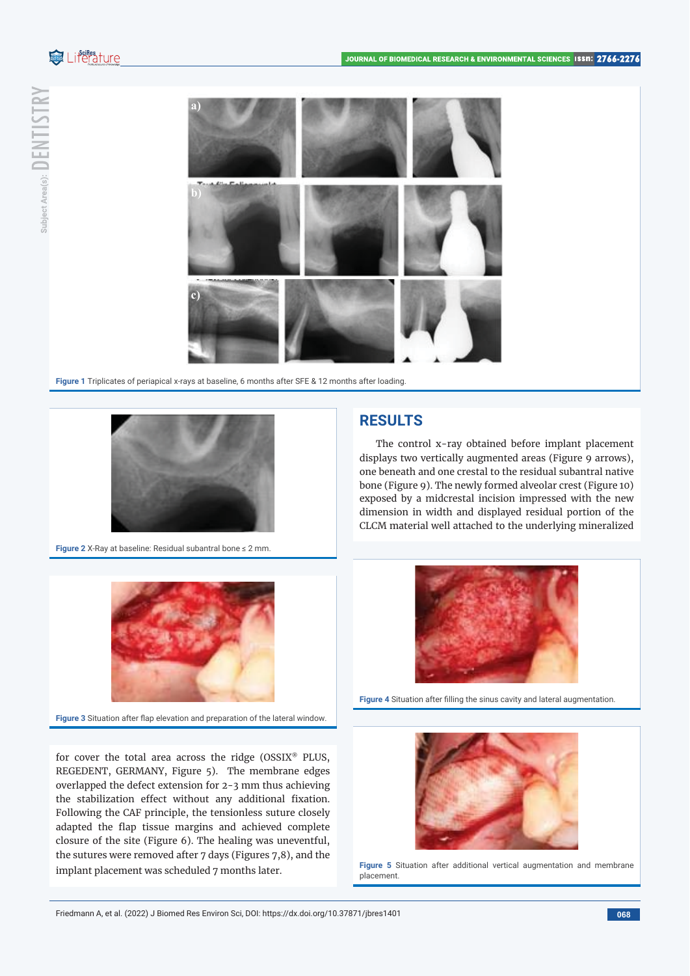

Subject Area(s):  $\mathsf{DENTISTRY}$ 



**Figure 1** Triplicates of periapical x-rays at baseline, 6 months after SFE & 12 months after loading.



**Figure 2** X-Ray at baseline: Residual subantral bone ≤ 2 mm.



Figure 3 Situation after flap elevation and preparation of the lateral window.

for cover the total area across the ridge (OSSIX® PLUS, REGEDENT, GERMANY, Figure 5). The membrane edges overlapped the defect extension for 2-3 mm thus achieving the stabilization effect without any additional fixation. Following the CAF principle, the tensionless suture closely adapted the flap tissue margins and achieved complete closure of the site (Figure 6). The healing was uneventful, the sutures were removed after 7 days (Figures 7,8), and the implant placement was scheduled 7 months later.

## **RESULTS**

The control x-ray obtained before implant placement displays two vertically augmented areas (Figure 9 arrows), one beneath and one crestal to the residual subantral native bone (Figure 9). The newly formed alveolar crest (Figure 10) exposed by a midcrestal incision impressed with the new dimension in width and displayed residual portion of the CLCM material well attached to the underlying mineralized



Figure 4 Situation after filling the sinus cavity and lateral augmentation.



**Figure 5** Situation after additional vertical augmentation and membrane placement.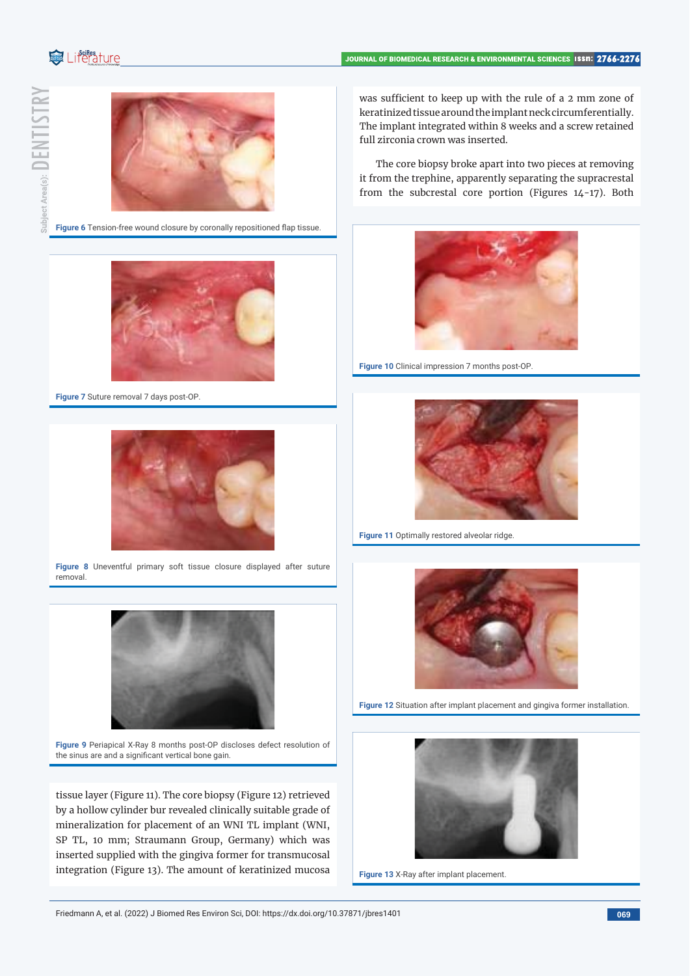



Figure 6 Tension-free wound closure by coronally repositioned flap tissue.



**Figure 7** Suture removal 7 days post-OP.



**Figure 8** Uneventful primary soft tissue closure displayed after suture removal.



**Figure 9** Periapical X-Ray 8 months post-OP discloses defect resolution of the sinus are and a significant vertical bone gain.

tissue layer (Figure 11). The core biopsy (Figure 12) retrieved by a hollow cylinder bur revealed clinically suitable grade of mineralization for placement of an WNI TL implant (WNI, SP TL, 10 mm; Straumann Group, Germany) which was inserted supplied with the gingiva former for transmucosal integration (Figure 13). The amount of keratinized mucosa

was sufficient to keep up with the rule of a 2 mm zone of keratinized tissue around the implant neck circumferentially. The implant integrated within 8 weeks and a screw retained full zirconia crown was inserted.

The core biopsy broke apart into two pieces at removing it from the trephine, apparently separating the supracrestal from the subcrestal core portion (Figures 14-17). Both



**Figure 10** Clinical impression 7 months post-OP.



**Figure 11** Optimally restored alveolar ridge.



**Figure 12** Situation after implant placement and gingiva former installation.



**Figure 13** X-Ray after implant placement.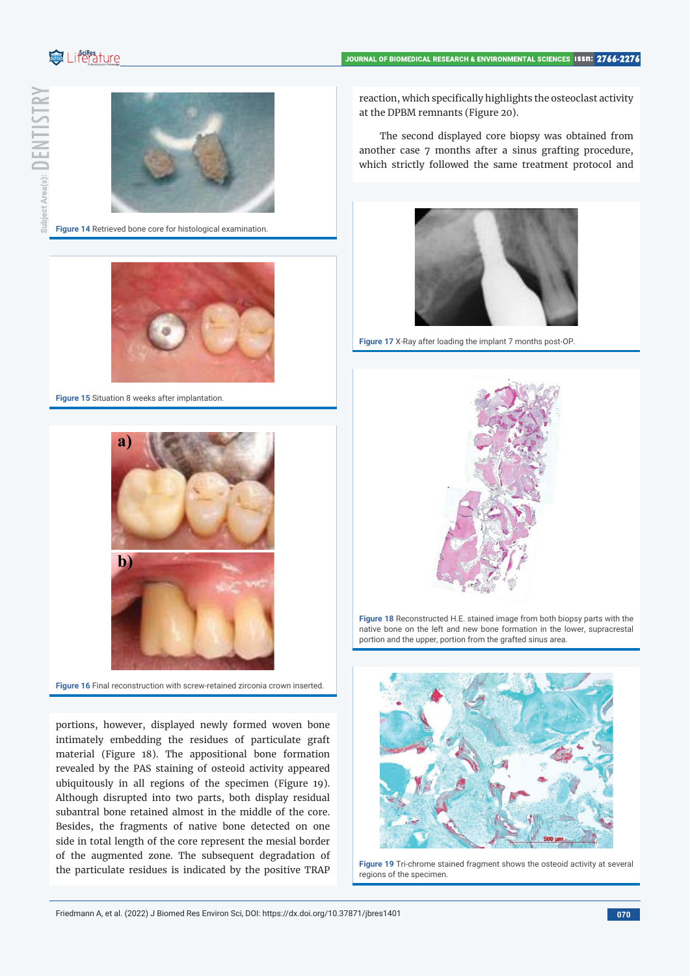Subject Area(s):  $\mathsf{D}\text{-}\mathsf{H}\mathsf{N}$   $\mathsf{T}\mathsf{I}\mathsf{S}\mathsf{T}\mathsf{R}\mathsf{V}$ 



**Figure 14** Retrieved bone core for histological examination.



**Figure 15** Situation 8 weeks after implantation.



**Figure 16** Final reconstruction with screw-retained zirconia crown inserted.

portions, however, displayed newly formed woven bone intimately embedding the residues of particulate graft material (Figure 18). The appositional bone formation revealed by the PAS staining of osteoid activity appeared ubiquitously in all regions of the specimen (Figure 19). Although disrupted into two parts, both display residual subantral bone retained almost in the middle of the core. Besides, the fragments of native bone detected on one side in total length of the core represent the mesial border of the augmented zone. The subsequent degradation of the particulate residues is indicated by the positive TRAP

reaction, which specifically highlights the osteoclast activity at the DPBM remnants (Figure 20).

 The second displayed core biopsy was obtained from another case 7 months after a sinus grafting procedure, which strictly followed the same treatment protocol and



**Figure 17** X-Ray after loading the implant 7 months post-OP



**Figure 18** Reconstructed H.E. stained image from both biopsy parts with the native bone on the left and new bone formation in the lower, supracrestal portion and the upper, portion from the grafted sinus area.



**Figure 19** Tri-chrome stained fragment shows the osteoid activity at several regions of the specimen.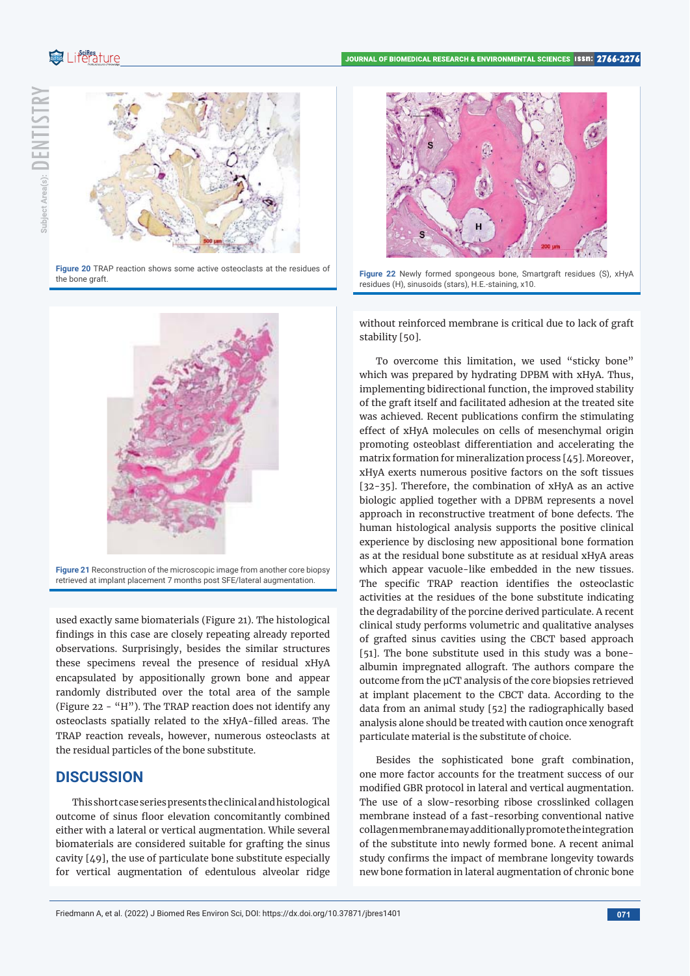

**Figure 20** TRAP reaction shows some active osteoclasts at the residues of the bone graft.



**Figure 21** Reconstruction of the microscopic image from another core biopsy retrieved at implant placement 7 months post SFE/lateral augmentation.

used exactly same biomaterials (Figure 21). The histological findings in this case are closely repeating already reported observations. Surprisingly, besides the similar structures these specimens reveal the presence of residual xHyA encapsulated by appositionally grown bone and appear randomly distributed over the total area of the sample (Figure 22 - "H"). The TRAP reaction does not identify any osteoclasts spatially related to the xHyA-filled areas. The TRAP reaction reveals, however, numerous osteoclasts at the residual particles of the bone substitute.

## **DISCUSSION**

This short case series presents the clinical and histological outcome of sinus floor elevation concomitantly combined either with a lateral or vertical augmentation. While several biomaterials are considered suitable for grafting the sinus cavity [49], the use of particulate bone substitute especially for vertical augmentation of edentulous alveolar ridge



**Figure 22** Newly formed spongeous bone, Smartgraft residues (S), xHyA residues (H), sinusoids (stars), H.E.-staining, x10.

without reinforced membrane is critical due to lack of graft stability [50].

To overcome this limitation, we used "sticky bone" which was prepared by hydrating DPBM with xHyA. Thus, implementing bidirectional function, the improved stability of the graft itself and facilitated adhesion at the treated site was achieved. Recent publications confirm the stimulating effect of xHvA molecules on cells of mesenchymal origin promoting osteoblast differentiation and accelerating the matrix formation for mineralization process [45]. Moreover, xHyA exerts numerous positive factors on the soft tissues [32-35]. Therefore, the combination of xHyA as an active biologic applied together with a DPBM represents a novel approach in reconstructive treatment of bone defects. The human histological analysis supports the positive clinical experience by disclosing new appositional bone formation as at the residual bone substitute as at residual xHyA areas which appear vacuole-like embedded in the new tissues. The specific TRAP reaction identifies the osteoclastic activities at the residues of the bone substitute indicating the degradability of the porcine derived particulate. A recent clinical study performs volumetric and qualitative analyses of grafted sinus cavities using the CBCT based approach [51]. The bone substitute used in this study was a bonealbumin impregnated allograft. The authors compare the outcome from the μCT analysis of the core biopsies retrieved at implant placement to the CBCT data. According to the data from an animal study [52] the radiographically based analysis alone should be treated with caution once xenograft particulate material is the substitute of choice.

Besides the sophisticated bone graft combination, one more factor accounts for the treatment success of our modified GBR protocol in lateral and vertical augmentation. The use of a slow-resorbing ribose crosslinked collagen membrane instead of a fast-resorbing conventional native collagen membrane may additionally promote the integration of the substitute into newly formed bone. A recent animal study confirms the impact of membrane longevity towards new bone formation in lateral augmentation of chronic bone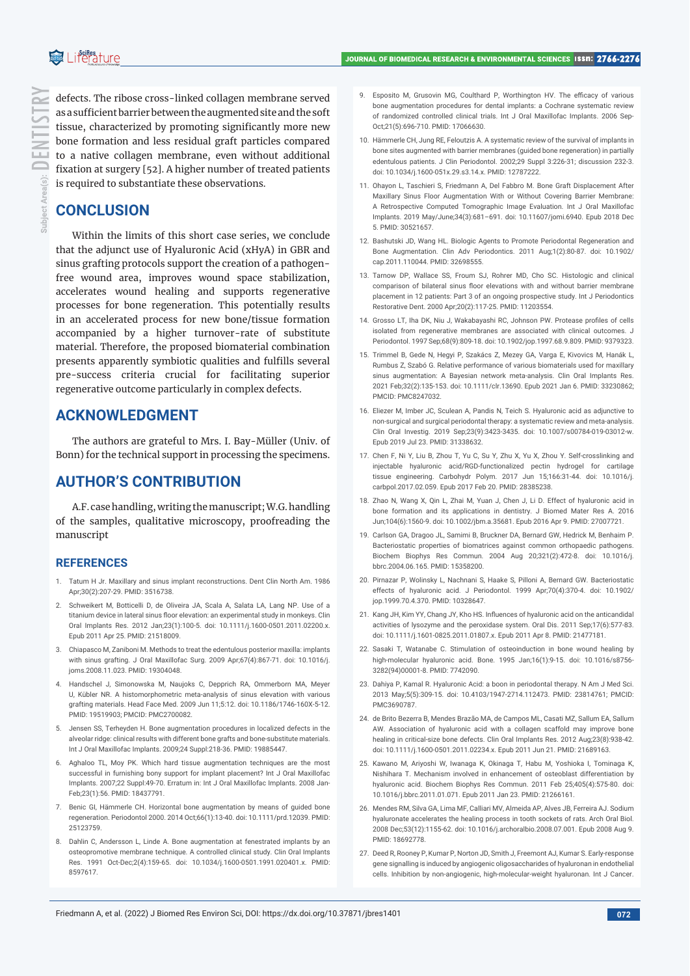defects. The ribose cross-linked collagen membrane served as a sufficient barrier between the augmented site and the soft tissue, characterized by promoting significantly more new bone formation and less residual graft particles compared to a native collagen membrane, even without additional fixation at surgery  $[52]$ . A higher number of treated patients is required to substantiate these observations.

# **CONCLUSION**

Within the limits of this short case series, we conclude that the adjunct use of Hyaluronic Acid (xHyA) in GBR and sinus grafting protocols support the creation of a pathogenfree wound area, improves wound space stabilization, accelerates wound healing and supports regenerative processes for bone regeneration. This potentially results in an accelerated process for new bone/tissue formation accompanied by a higher turnover-rate of substitute material. Therefore, the proposed biomaterial combination presents apparently symbiotic qualities and fulfills several pre-success criteria crucial for facilitating superior regenerative outcome particularly in complex defects.

## **ACKNOWLEDGMENT**

The authors are grateful to Mrs. I. Bay-Müller (Univ. of Bonn) for the technical support in processing the specimens.

## **AUTHOR'S CONTRIBUTION**

A.F. case handling, writing the manuscript; W.G. handling of the samples, qualitative microscopy, proofreading the manuscript

#### **REFERENCES**

- 1. Tatum H Jr. Maxillary and sinus implant reconstructions. Dent Clin North Am. 1986 Apr;30(2):207-29. PMID: 3516738.
- Schweikert M, Botticelli D, de Oliveira JA, Scala A, Salata LA, Lang NP. Use of a titanium device in lateral sinus floor elevation: an experimental study in monkeys. Clin Oral Implants Res. 2012 Jan;23(1):100-5. doi: 10.1111/j.1600-0501.2011.02200.x. Epub 2011 Apr 25. PMID: 21518009.
- 3. Chiapasco M, Zaniboni M. Methods to treat the edentulous posterior maxilla: implants with sinus grafting. J Oral Maxillofac Surg. 2009 Apr;67(4):867-71. doi: 10.1016/j. joms.2008.11.023. PMID: 19304048.
- 4. Handschel J, Simonowska M, Naujoks C, Depprich RA, Ommerborn MA, Meyer U, Kübler NR. A histomorphometric meta-analysis of sinus elevation with various grafting materials. Head Face Med. 2009 Jun 11;5:12. doi: 10.1186/1746-160X-5-12. PMID: 19519903; PMCID: PMC2700082.
- 5. Jensen SS, Terheyden H. Bone augmentation procedures in localized defects in the alveolar ridge: clinical results with different bone grafts and bone-substitute materials. Int J Oral Maxillofac Implants. 2009;24 Suppl:218-36. PMID: 19885447.
- Aghaloo TL, Moy PK. Which hard tissue augmentation techniques are the most successful in furnishing bony support for implant placement? Int J Oral Maxillofac Implants. 2007;22 Suppl:49-70. Erratum in: Int J Oral Maxillofac Implants. 2008 Jan-Feb;23(1):56. PMID: 18437791.
- 7. Benic GI, Hämmerle CH. Horizontal bone augmentation by means of guided bone regeneration. Periodontol 2000. 2014 Oct;66(1):13-40. doi: 10.1111/prd.12039. PMID: 25123759.
- 8. Dahlin C, Andersson L, Linde A. Bone augmentation at fenestrated implants by an osteopromotive membrane technique. A controlled clinical study. Clin Oral Implants Res. 1991 Oct-Dec;2(4):159-65. doi: 10.1034/j.1600-0501.1991.020401.x. PMID: 8597617.
- 9. Esposito M, Grusovin MG, Coulthard P, Worthington HV. The efficacy of various bone augmentation procedures for dental implants: a Cochrane systematic review of randomized controlled clinical trials. Int J Oral Maxillofac Implants. 2006 Sep-Oct;21(5):696-710. PMID: 17066630.
- 10. Hämmerle CH, Jung RE, Feloutzis A. A systematic review of the survival of implants in bone sites augmented with barrier membranes (guided bone regeneration) in partially edentulous patients. J Clin Periodontol. 2002;29 Suppl 3:226-31; discussion 232-3. doi: 10.1034/j.1600-051x.29.s3.14.x. PMID: 12787222.
- 11. Ohayon L, Taschieri S, Friedmann A, Del Fabbro M. Bone Graft Displacement After Maxillary Sinus Floor Augmentation With or Without Covering Barrier Membrane: A Retrospective Computed Tomographic Image Evaluation. Int J Oral Maxillofac Implants. 2019 May/June;34(3):681–691. doi: 10.11607/jomi.6940. Epub 2018 Dec 5. PMID: 30521657.
- 12. Bashutski JD, Wang HL. Biologic Agents to Promote Periodontal Regeneration and Bone Augmentation. Clin Adv Periodontics. 2011 Aug;1(2):80-87. doi: 10.1902/ cap.2011.110044. PMID: 32698555.
- 13. Tarnow DP, Wallace SS, Froum SJ, Rohrer MD, Cho SC. Histologic and clinical comparison of bilateral sinus floor elevations with and without barrier membrane placement in 12 patients: Part 3 of an ongoing prospective study. Int J Periodontics Restorative Dent. 2000 Apr;20(2):117-25. PMID: 11203554.
- 14. Grosso LT, Iha DK, Niu J, Wakabayashi RC, Johnson PW. Protease profiles of cells isolated from regenerative membranes are associated with clinical outcomes. J Periodontol. 1997 Sep;68(9):809-18. doi: 10.1902/jop.1997.68.9.809. PMID: 9379323.
- 15. Trimmel B, Gede N, Hegyi P, Szakács Z, Mezey GA, Varga E, Kivovics M, Hanák L, Rumbus Z, Szabó G. Relative performance of various biomaterials used for maxillary sinus augmentation: A Bayesian network meta-analysis. Clin Oral Implants Res. 2021 Feb;32(2):135-153. doi: 10.1111/clr.13690. Epub 2021 Jan 6. PMID: 33230862; PMCID: PMC8247032.
- 16. Eliezer M, Imber JC, Sculean A, Pandis N, Teich S. Hyaluronic acid as adjunctive to non-surgical and surgical periodontal therapy: a systematic review and meta-analysis. Clin Oral Investig. 2019 Sep;23(9):3423-3435. doi: 10.1007/s00784-019-03012-w. Epub 2019 Jul 23. PMID: 31338632.
- 17. Chen F, Ni Y, Liu B, Zhou T, Yu C, Su Y, Zhu X, Yu X, Zhou Y. Self-crosslinking and injectable hyaluronic acid/RGD-functionalized pectin hydrogel for cartilage tissue engineering. Carbohydr Polym. 2017 Jun 15;166:31-44. doi: 10.1016/j. carbpol.2017.02.059. Epub 2017 Feb 20. PMID: 28385238.
- 18. Zhao N, Wang X, Qin L, Zhai M, Yuan J, Chen J, Li D. Effect of hyaluronic acid in bone formation and its applications in dentistry. J Biomed Mater Res A. 2016 Jun;104(6):1560-9. doi: 10.1002/jbm.a.35681. Epub 2016 Apr 9. PMID: 27007721.
- 19. Carlson GA, Dragoo JL, Samimi B, Bruckner DA, Bernard GW, Hedrick M, Benhaim P. Bacteriostatic properties of biomatrices against common orthopaedic pathogens. Biochem Biophys Res Commun. 2004 Aug 20;321(2):472-8. doi: 10.1016/j. bbrc.2004.06.165. PMID: 15358200.
- 20. Pirnazar P, Wolinsky L, Nachnani S, Haake S, Pilloni A, Bernard GW. Bacteriostatic effects of hyaluronic acid. J Periodontol. 1999 Apr;70(4):370-4. doi: 10.1902/ jop.1999.70.4.370. PMID: 10328647.
- 21. Kang JH, Kim YY, Chang JY, Kho HS. Influences of hyaluronic acid on the anticandidal activities of lysozyme and the peroxidase system. Oral Dis. 2011 Sep;17(6):577-83. doi: 10.1111/j.1601-0825.2011.01807.x. Epub 2011 Apr 8. PMID: 21477181.
- 22. Sasaki T, Watanabe C. Stimulation of osteoinduction in bone wound healing by high-molecular hyaluronic acid. Bone. 1995 Jan;16(1):9-15. doi: 10.1016/s8756- 3282(94)00001-8. PMID: 7742090.
- 23. Dahiya P, Kamal R. Hyaluronic Acid: a boon in periodontal therapy. N Am J Med Sci. 2013 May;5(5):309-15. doi: 10.4103/1947-2714.112473. PMID: 23814761; PMCID: PMC3690787.
- 24. de Brito Bezerra B, Mendes Brazão MA, de Campos ML, Casati MZ, Sallum EA, Sallum AW. Association of hyaluronic acid with a collagen scaffold may improve bone healing in critical-size bone defects. Clin Oral Implants Res. 2012 Aug;23(8):938-42. doi: 10.1111/j.1600-0501.2011.02234.x. Epub 2011 Jun 21. PMID: 21689163.
- 25. Kawano M, Ariyoshi W, Iwanaga K, Okinaga T, Habu M, Yoshioka I, Tominaga K, Nishihara T. Mechanism involved in enhancement of osteoblast differentiation by hyaluronic acid. Biochem Biophys Res Commun. 2011 Feb 25;405(4):575-80. doi: 10.1016/j.bbrc.2011.01.071. Epub 2011 Jan 23. PMID: 21266161.
- 26. Mendes RM, Silva GA, Lima MF, Calliari MV, Almeida AP, Alves JB, Ferreira AJ. Sodium hyaluronate accelerates the healing process in tooth sockets of rats. Arch Oral Biol. 2008 Dec;53(12):1155-62. doi: 10.1016/j.archoralbio.2008.07.001. Epub 2008 Aug 9. PMID: 18692778.
- 27. Deed R, Rooney P, Kumar P, Norton JD, Smith J, Freemont AJ, Kumar S. Early-response gene signalling is induced by angiogenic oligosaccharides of hyaluronan in endothelial cells. Inhibition by non-angiogenic, high-molecular-weight hyaluronan. Int J Cancer.